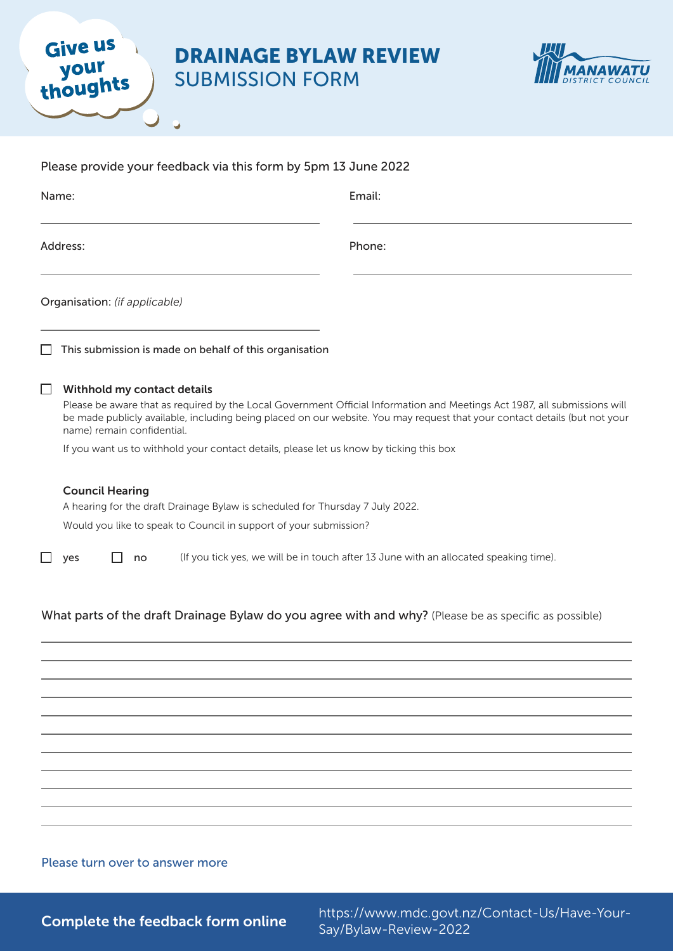# DRAINAGE BYLAW REVIEW

SUBMISSION FORM

Ü

**Give us** 

your<br>thoughts



|                   | Please provide your feedback via this form by 5pm 13 June 2022                                                                                                               |                                                                                                                                                                                                                                                         |
|-------------------|------------------------------------------------------------------------------------------------------------------------------------------------------------------------------|---------------------------------------------------------------------------------------------------------------------------------------------------------------------------------------------------------------------------------------------------------|
| Name:<br>Address: |                                                                                                                                                                              | Email:<br>Phone:                                                                                                                                                                                                                                        |
|                   |                                                                                                                                                                              |                                                                                                                                                                                                                                                         |
| LΙ                | This submission is made on behalf of this organisation                                                                                                                       |                                                                                                                                                                                                                                                         |
| □                 | Withhold my contact details<br>name) remain confidential.<br>If you want us to withhold your contact details, please let us know by ticking this box                         | Please be aware that as required by the Local Government Official Information and Meetings Act 1987, all submissions will<br>be made publicly available, including being placed on our website. You may request that your contact details (but not your |
|                   | <b>Council Hearing</b><br>A hearing for the draft Drainage Bylaw is scheduled for Thursday 7 July 2022.<br>Would you like to speak to Council in support of your submission? |                                                                                                                                                                                                                                                         |
| □                 | yes<br>no                                                                                                                                                                    | (If you tick yes, we will be in touch after 13 June with an allocated speaking time).                                                                                                                                                                   |
|                   |                                                                                                                                                                              | What parts of the draft Drainage Bylaw do you agree with and why? (Please be as specific as possible)                                                                                                                                                   |
|                   |                                                                                                                                                                              |                                                                                                                                                                                                                                                         |
|                   |                                                                                                                                                                              |                                                                                                                                                                                                                                                         |
|                   |                                                                                                                                                                              |                                                                                                                                                                                                                                                         |
|                   |                                                                                                                                                                              |                                                                                                                                                                                                                                                         |

#### Please turn over to answer more

Complete the feedback form online<br>
Complete the feedback form online<br>
Sav/Bylaw Bayiaw 2022 Say/Bylaw-Review-2022